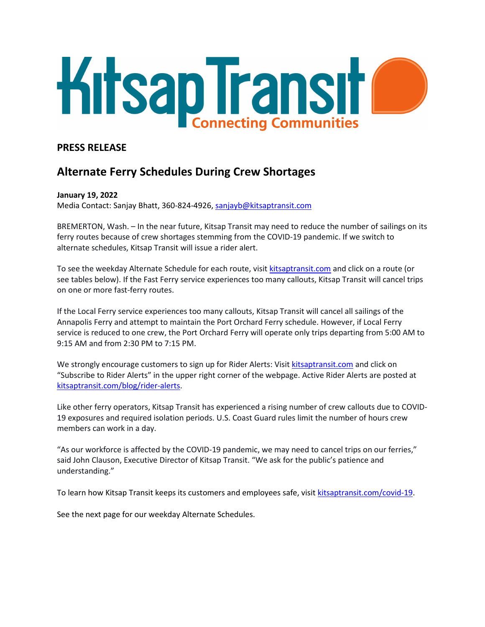

## **PRESS RELEASE**

# **Alternate Ferry Schedules During Crew Shortages**

#### **January 19, 2022**

Media Contact: Sanjay Bhatt, 360-824-4926, [sanjayb@kitsaptransit.com](mailto:sanjayb@kitsaptransit.com) 

BREMERTON, Wash. – In the near future, Kitsap Transit may need to reduce the number of sailings on its ferry routes because of crew shortages stemming from the COVID-19 pandemic. If we switch to alternate schedules, Kitsap Transit will issue a rider alert.

To see the weekday Alternate Schedule for each route, visit [kitsaptransit.com](http://kitsaptransit.com/) and click on a route (or see tables below). If the Fast Ferry service experiences too many callouts, Kitsap Transit will cancel trips on one or more fast-ferry routes.

If the Local Ferry service experiences too many callouts, Kitsap Transit will cancel all sailings of the Annapolis Ferry and attempt to maintain the Port Orchard Ferry schedule. However, if Local Ferry service is reduced to one crew, the Port Orchard Ferry will operate only trips departing from 5:00 AM to 9:15 AM and from 2:30 PM to 7:15 PM.

We strongly encourage customers to sign up for Rider Alerts: Visit [kitsaptransit.com](http://kitsaptransit.com/) and click on "Subscribe to Rider Alerts" in the upper right corner of the webpage. Active Rider Alerts are posted at [kitsaptransit.com/blog/rider-alerts.](https://www.kitsaptransit.com/blog/rider-alerts)

Like other ferry operators, Kitsap Transit has experienced a rising number of crew callouts due to COVID-19 exposures and required isolation periods. U.S. Coast Guard rules limit the number of hours crew members can work in a day.

"As our workforce is affected by the COVID-19 pandemic, we may need to cancel trips on our ferries," said John Clauson, Executive Director of Kitsap Transit. "We ask for the public's patience and understanding."

To learn how Kitsap Transit keeps its customers and employees safe, visit [kitsaptransit.com/covid-19.](http://kitsaptransit.com/covid-19)

See the next page for our weekday Alternate Schedules.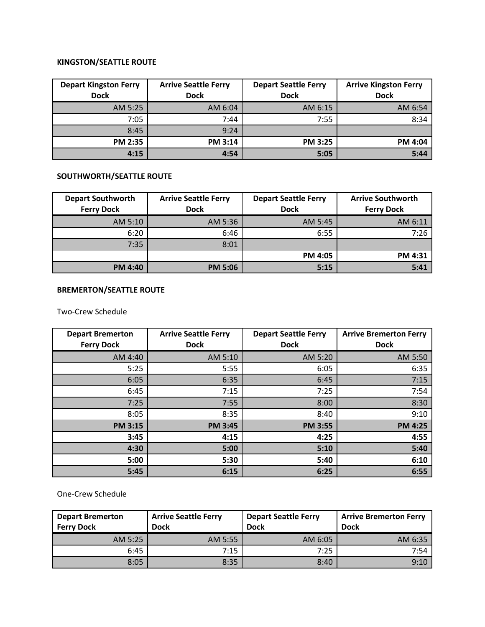### **KINGSTON/SEATTLE ROUTE**

| <b>Depart Kingston Ferry</b><br><b>Dock</b> | <b>Arrive Seattle Ferry</b><br><b>Dock</b> | <b>Depart Seattle Ferry</b><br><b>Dock</b> | <b>Arrive Kingston Ferry</b><br><b>Dock</b> |
|---------------------------------------------|--------------------------------------------|--------------------------------------------|---------------------------------------------|
| AM 5:25                                     | AM 6:04                                    | AM 6:15                                    | AM 6:54                                     |
| 7:05                                        | 7:44                                       | 7:55                                       | 8:34                                        |
| 8:45                                        | 9:24                                       |                                            |                                             |
| <b>PM 2:35</b>                              | <b>PM 3:14</b>                             | <b>PM 3:25</b>                             | PM 4:04                                     |
| 4:15                                        | 4:54                                       | 5:05                                       | 5:44                                        |

### **SOUTHWORTH/SEATTLE ROUTE**

| <b>Depart Southworth</b><br><b>Ferry Dock</b> | <b>Arrive Seattle Ferry</b><br><b>Dock</b> | <b>Depart Seattle Ferry</b><br><b>Dock</b> | <b>Arrive Southworth</b><br><b>Ferry Dock</b> |
|-----------------------------------------------|--------------------------------------------|--------------------------------------------|-----------------------------------------------|
| AM 5:10                                       | AM 5:36                                    | AM 5:45                                    | AM 6:11                                       |
| 6:20                                          | 6:46                                       | 6:55                                       | 7:26                                          |
| 7:35                                          | 8:01                                       |                                            |                                               |
|                                               |                                            | <b>PM 4:05</b>                             | PM 4:31                                       |
| <b>PM 4:40</b>                                | <b>PM 5:06</b>                             | 5:15                                       | 5:41                                          |

### **BREMERTON/SEATTLE ROUTE**

Two-Crew Schedule

| <b>Depart Bremerton</b><br><b>Ferry Dock</b> | <b>Arrive Seattle Ferry</b><br><b>Dock</b> | <b>Depart Seattle Ferry</b><br><b>Dock</b> | <b>Arrive Bremerton Ferry</b><br><b>Dock</b> |
|----------------------------------------------|--------------------------------------------|--------------------------------------------|----------------------------------------------|
| AM 4:40                                      | AM 5:10                                    | AM 5:20                                    | AM 5:50                                      |
| 5:25                                         | 5:55                                       | 6:05                                       | 6:35                                         |
| 6:05                                         | 6:35                                       | 6:45                                       | 7:15                                         |
| 6:45                                         | 7:15                                       | 7:25                                       | 7:54                                         |
| 7:25                                         | 7:55                                       | 8:00                                       | 8:30                                         |
| 8:05                                         | 8:35                                       | 8:40                                       | 9:10                                         |
| <b>PM 3:15</b>                               | <b>PM 3:45</b>                             | <b>PM 3:55</b>                             | <b>PM 4:25</b>                               |
| 3:45                                         | 4:15                                       | 4:25                                       | 4:55                                         |
| 4:30                                         | 5:00                                       | 5:10                                       | 5:40                                         |
| 5:00                                         | 5:30                                       | 5:40                                       | 6:10                                         |
| 5:45                                         | 6:15                                       | 6:25                                       | 6:55                                         |

One-Crew Schedule

| <b>Depart Bremerton</b><br><b>Ferry Dock</b> | <b>Arrive Seattle Ferry</b><br><b>Dock</b> | <b>Depart Seattle Ferry</b><br><b>Dock</b> | <b>Arrive Bremerton Ferry</b><br><b>Dock</b> |
|----------------------------------------------|--------------------------------------------|--------------------------------------------|----------------------------------------------|
| AM 5:25                                      | AM 5:55                                    | AM 6:05                                    | AM 6:35                                      |
| 6:45                                         | 7:15                                       | 7:25                                       | 7:54                                         |
| 8:05                                         | 8:35                                       | 8:40                                       | 9:10                                         |